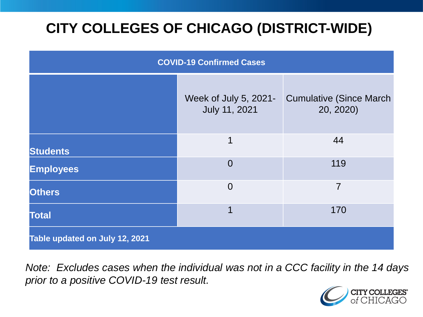# **CITY COLLEGES OF CHICAGO (DISTRICT-WIDE)**

| <b>COVID-19 Confirmed Cases</b> |                                        |                                              |
|---------------------------------|----------------------------------------|----------------------------------------------|
|                                 | Week of July 5, 2021-<br>July 11, 2021 | <b>Cumulative (Since March)</b><br>20, 2020) |
| <b>Students</b>                 | 1                                      | 44                                           |
| <b>Employees</b>                | $\Omega$                               | 119                                          |
| <b>Others</b>                   | $\overline{0}$                         | 7                                            |
| <b>Total</b>                    | 1                                      | 170                                          |
| Table updated on July 12, 2021  |                                        |                                              |

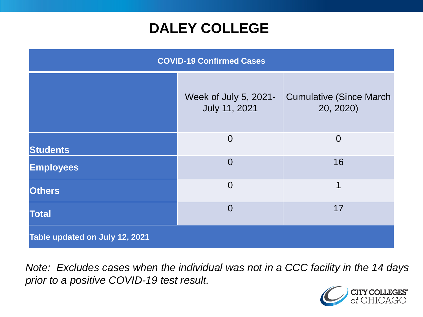### **DALEY COLLEGE**

| <b>COVID-19 Confirmed Cases</b> |                                        |                                              |
|---------------------------------|----------------------------------------|----------------------------------------------|
|                                 | Week of July 5, 2021-<br>July 11, 2021 | <b>Cumulative (Since March)</b><br>20, 2020) |
| <b>Students</b>                 | $\Omega$                               | $\overline{0}$                               |
| <b>Employees</b>                | $\overline{0}$                         | 16                                           |
| <b>Others</b>                   | $\overline{0}$                         | 1                                            |
| <b>Total</b>                    | $\overline{0}$                         | 17                                           |
| Table updated on July 12, 2021  |                                        |                                              |

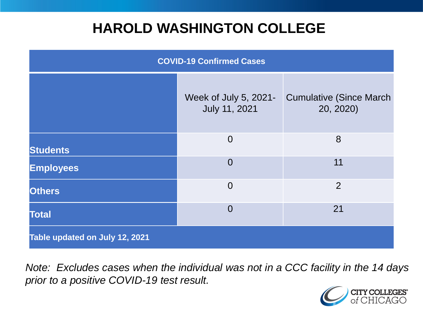### **HAROLD WASHINGTON COLLEGE**

| <b>COVID-19 Confirmed Cases</b> |                                        |                                              |
|---------------------------------|----------------------------------------|----------------------------------------------|
|                                 | Week of July 5, 2021-<br>July 11, 2021 | <b>Cumulative (Since March)</b><br>20, 2020) |
| <b>Students</b>                 | $\overline{0}$                         | 8                                            |
| <b>Employees</b>                | $\Omega$                               | 11                                           |
| <b>Others</b>                   | $\overline{0}$                         | $\overline{2}$                               |
| <b>Total</b>                    | $\Omega$                               | 21                                           |
| Table updated on July 12, 2021  |                                        |                                              |

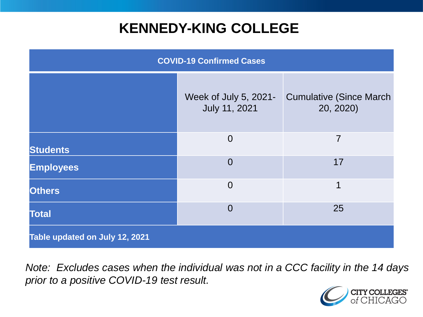### **KENNEDY-KING COLLEGE**

| <b>COVID-19 Confirmed Cases</b> |                                        |                                              |
|---------------------------------|----------------------------------------|----------------------------------------------|
|                                 | Week of July 5, 2021-<br>July 11, 2021 | <b>Cumulative (Since March)</b><br>20, 2020) |
| <b>Students</b>                 | $\overline{0}$                         | $\overline{7}$                               |
| <b>Employees</b>                | $\overline{0}$                         | 17                                           |
| <b>Others</b>                   | $\overline{0}$                         | 1                                            |
| <b>Total</b>                    | $\overline{0}$                         | 25                                           |
| Table updated on July 12, 2021  |                                        |                                              |

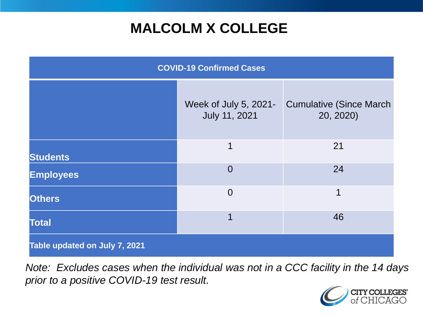# **MALCOLM X COLLEGE**

| <b>COVID-19 Confirmed Cases</b> |                                        |                                              |
|---------------------------------|----------------------------------------|----------------------------------------------|
|                                 | Week of July 5, 2021-<br>July 11, 2021 | <b>Cumulative (Since March)</b><br>20, 2020) |
| <b>Students</b>                 | $\mathbf 1$                            | 21                                           |
| <b>Employees</b>                | $\overline{0}$                         | 24                                           |
| <b>Others</b>                   | $\overline{0}$                         | 1                                            |
| <b>Total</b>                    | 1                                      | 46                                           |
| Table updated on July 7, 2021   |                                        |                                              |

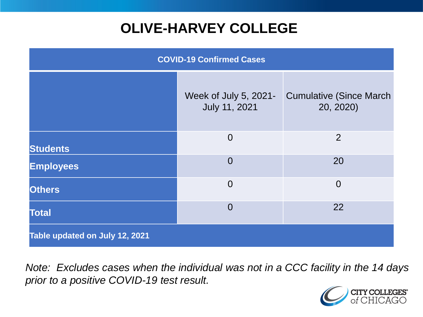# **OLIVE-HARVEY COLLEGE**

| <b>COVID-19 Confirmed Cases</b> |                                        |                                              |
|---------------------------------|----------------------------------------|----------------------------------------------|
|                                 | Week of July 5, 2021-<br>July 11, 2021 | <b>Cumulative (Since March)</b><br>20, 2020) |
| <b>Students</b>                 | $\overline{0}$                         | 2                                            |
| <b>Employees</b>                | $\Omega$                               | 20                                           |
| <b>Others</b>                   | $\overline{0}$                         | $\overline{0}$                               |
| <b>Total</b>                    | $\overline{0}$                         | 22                                           |
| Table updated on July 12, 2021  |                                        |                                              |

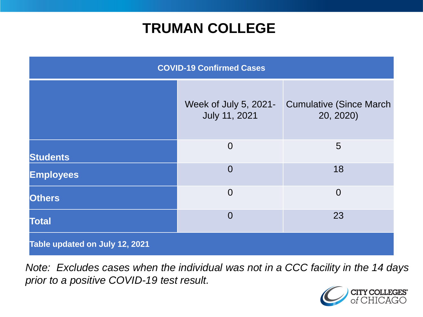### **TRUMAN COLLEGE**

| <b>COVID-19 Confirmed Cases</b> |                                        |                                              |
|---------------------------------|----------------------------------------|----------------------------------------------|
|                                 | Week of July 5, 2021-<br>July 11, 2021 | <b>Cumulative (Since March)</b><br>20, 2020) |
| <b>Students</b>                 | $\overline{0}$                         | 5                                            |
| <b>Employees</b>                | $\overline{0}$                         | 18                                           |
| <b>Others</b>                   | $\overline{0}$                         | $\overline{0}$                               |
| <b>Total</b>                    | $\overline{0}$                         | 23                                           |
| Table updated on July 12, 2021  |                                        |                                              |

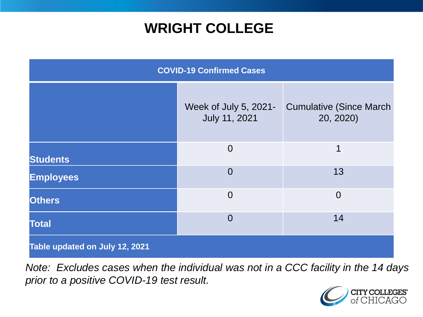### **WRIGHT COLLEGE**

| <b>COVID-19 Confirmed Cases</b> |                                               |                                              |
|---------------------------------|-----------------------------------------------|----------------------------------------------|
|                                 | Week of July 5, 2021-<br><b>July 11, 2021</b> | <b>Cumulative (Since March)</b><br>20, 2020) |
| <b>Students</b>                 | $\overline{0}$                                | 1                                            |
| <b>Employees</b>                | $\overline{0}$                                | 13                                           |
| <b>Others</b>                   | $\overline{0}$                                | $\overline{0}$                               |
| <b>Total</b>                    | $\overline{0}$                                | 14                                           |
| Table updated on July 12, 2021  |                                               |                                              |